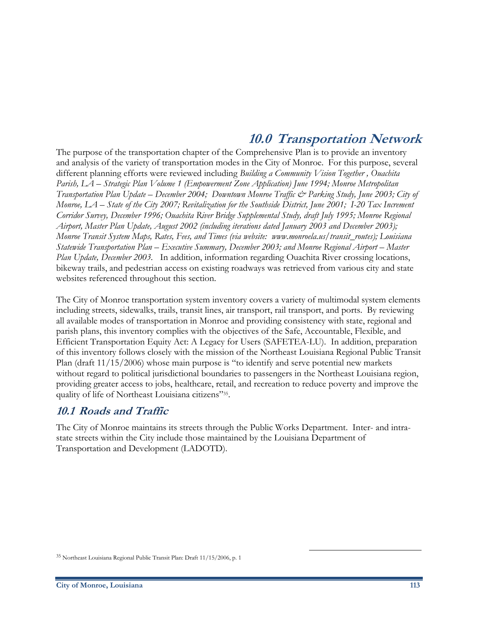# **10.0 Transportation Network**

The purpose of the transportation chapter of the Comprehensive Plan is to provide an inventory and analysis of the variety of transportation modes in the City of Monroe. For this purpose, several different planning efforts were reviewed including *Building a Community Vision Together , Ouachita Parish, LA – Strategic Plan Volume 1 (Empowerment Zone Application) June 1994; Monroe Metropolitan Transportation Plan Update – December 2004; Downtown Monroe Traffic & Parking Study, June 2003; City of Monroe, LA – State of the City 2007; Revitalization for the Southside District, June 2001; I-20 Tax Increment Corridor Survey, December 1996; Ouachita River Bridge Supplemental Study, draft July 1995; Monroe Regional Airport, Master Plan Update, August 2002 (including iterations dated January 2003 and December 2003); Monroe Transit System Maps, Rates, Fees, and Times (via website: www.monroela.us/transit\_routes); Louisiana Statewide Transportation Plan – Executive Summary, December 2003; and Monroe Regional Airport – Master Plan Update, December 2003.*In addition, information regarding Ouachita River crossing locations, bikeway trails, and pedestrian access on existing roadways was retrieved from various city and state websites referenced throughout this section.

The City of Monroe transportation system inventory covers a variety of multimodal system elements including streets, sidewalks, trails, transit lines, air transport, rail transport, and ports. By reviewing all available modes of transportation in Monroe and providing consistency with state, regional and parish plans, this inventory complies with the objectives of the Safe, Accountable, Flexible, and Efficient Transportation Equity Act: A Legacy for Users (SAFETEA-LU). In addition, preparation of this inventory follows closely with the mission of the Northeast Louisiana Regional Public Transit Plan (draft 11/15/2006) whose main purpose is "to identify and serve potential new markets without regard to political jurisdictional boundaries to passengers in the Northeast Louisiana region, providing greater access to jobs, healthcare, retail, and recreation to reduce poverty and improve the quality of life of Northeast Louisiana citizens"35.

### **10.1 Roads and Traffic**

The City of Monroe maintains its streets through the Public Works Department. Inter- and intrastate streets within the City include those maintained by the Louisiana Department of Transportation and Development (LADOTD).

<sup>35</sup> Northeast Louisiana Regional Public Transit Plan: Draft 11/15/2006, p. 1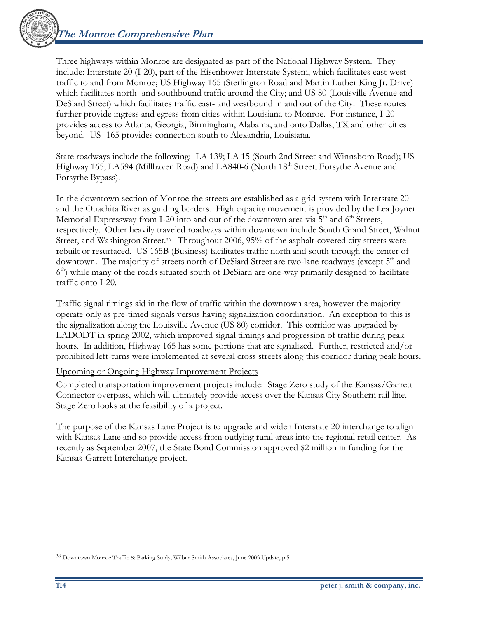

Three highways within Monroe are designated as part of the National Highway System. They include: Interstate 20 (I-20), part of the Eisenhower Interstate System, which facilitates east-west traffic to and from Monroe; US Highway 165 (Sterlington Road and Martin Luther King Jr. Drive) which facilitates north- and southbound traffic around the City; and US 80 (Louisville Avenue and DeSiard Street) which facilitates traffic east- and westbound in and out of the City. These routes further provide ingress and egress from cities within Louisiana to Monroe. For instance, I-20 provides access to Atlanta, Georgia, Birmingham, Alabama, and onto Dallas, TX and other cities beyond. US -165 provides connection south to Alexandria, Louisiana.

State roadways include the following: LA 139; LA 15 (South 2nd Street and Winnsboro Road); US Highway 165; LA594 (Millhaven Road) and LA840-6 (North 18<sup>th</sup> Street, Forsythe Avenue and Forsythe Bypass).

In the downtown section of Monroe the streets are established as a grid system with Interstate 20 and the Ouachita River as guiding borders. High capacity movement is provided by the Lea Joyner Memorial Expressway from I-20 into and out of the downtown area via  $5<sup>th</sup>$  and  $6<sup>th</sup>$  Streets, respectively. Other heavily traveled roadways within downtown include South Grand Street, Walnut Street, and Washington Street.<sup>36</sup> Throughout 2006, 95% of the asphalt-covered city streets were rebuilt or resurfaced. US 165B (Business) facilitates traffic north and south through the center of downtown. The majority of streets north of DeSiard Street are two-lane roadways (except 5<sup>th</sup> and  $6<sup>th</sup>$ ) while many of the roads situated south of DeSiard are one-way primarily designed to facilitate traffic onto I-20.

Traffic signal timings aid in the flow of traffic within the downtown area, however the majority operate only as pre-timed signals versus having signalization coordination. An exception to this is the signalization along the Louisville Avenue (US 80) corridor. This corridor was upgraded by LADODT in spring 2002, which improved signal timings and progression of traffic during peak hours. In addition, Highway 165 has some portions that are signalized. Further, restricted and/or prohibited left-turns were implemented at several cross streets along this corridor during peak hours.

Upcoming or Ongoing Highway Improvement Projects

Completed transportation improvement projects include: Stage Zero study of the Kansas/Garrett Connector overpass, which will ultimately provide access over the Kansas City Southern rail line. Stage Zero looks at the feasibility of a project.

The purpose of the Kansas Lane Project is to upgrade and widen Interstate 20 interchange to align with Kansas Lane and so provide access from outlying rural areas into the regional retail center. As recently as September 2007, the State Bond Commission approved \$2 million in funding for the Kansas-Garrett Interchange project.

<sup>36</sup> Downtown Monroe Traffic & Parking Study, Wilbur Smith Associates, June 2003 Update, p.5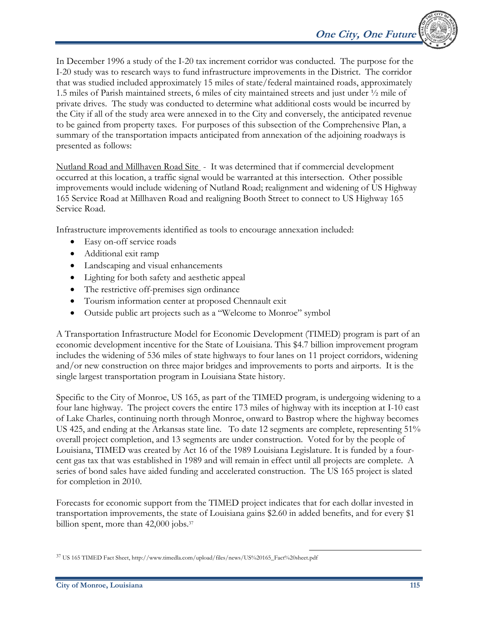In December 1996 a study of the I-20 tax increment corridor was conducted. The purpose for the I-20 study was to research ways to fund infrastructure improvements in the District. The corridor that was studied included approximately 15 miles of state/federal maintained roads, approximately 1.5 miles of Parish maintained streets, 6 miles of city maintained streets and just under ½ mile of private drives. The study was conducted to determine what additional costs would be incurred by the City if all of the study area were annexed in to the City and conversely, the anticipated revenue to be gained from property taxes. For purposes of this subsection of the Comprehensive Plan, a summary of the transportation impacts anticipated from annexation of the adjoining roadways is presented as follows:

Nutland Road and Millhaven Road Site - It was determined that if commercial development occurred at this location, a traffic signal would be warranted at this intersection. Other possible improvements would include widening of Nutland Road; realignment and widening of US Highway 165 Service Road at Millhaven Road and realigning Booth Street to connect to US Highway 165 Service Road.

Infrastructure improvements identified as tools to encourage annexation included:

- Easy on-off service roads
- Additional exit ramp
- Landscaping and visual enhancements
- Lighting for both safety and aesthetic appeal
- The restrictive off-premises sign ordinance
- Tourism information center at proposed Chennault exit
- Outside public art projects such as a "Welcome to Monroe" symbol

A Transportation Infrastructure Model for Economic Development (TIMED) program is part of an economic development incentive for the State of Louisiana. This \$4.7 billion improvement program includes the widening of 536 miles of state highways to four lanes on 11 project corridors, widening and/or new construction on three major bridges and improvements to ports and airports. It is the single largest transportation program in Louisiana State history.

Specific to the City of Monroe, US 165, as part of the TIMED program, is undergoing widening to a four lane highway. The project covers the entire 173 miles of highway with its inception at I-10 east of Lake Charles, continuing north through Monroe, onward to Bastrop where the highway becomes US 425, and ending at the Arkansas state line. To date 12 segments are complete, representing 51% overall project completion, and 13 segments are under construction. Voted for by the people of Louisiana, TIMED was created by Act 16 of the 1989 Louisiana Legislature. It is funded by a fourcent gas tax that was established in 1989 and will remain in effect until all projects are complete. A series of bond sales have aided funding and accelerated construction. The US 165 project is slated for completion in 2010.

Forecasts for economic support from the TIMED project indicates that for each dollar invested in transportation improvements, the state of Louisiana gains \$2.60 in added benefits, and for every \$1 billion spent, more than 42,000 jobs.<sup>37</sup>

 $\overline{a}$ 37 US 165 TIMED Fact Sheet, http://www.timedla.com/upload/files/news/US%20165\_Fact%20sheet.pdf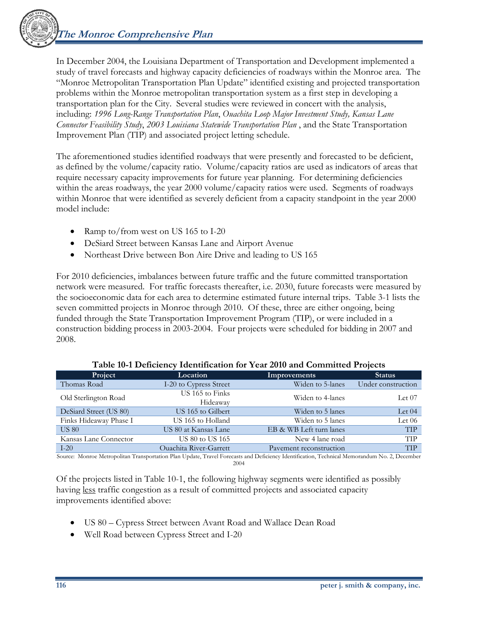

In December 2004, the Louisiana Department of Transportation and Development implemented a study of travel forecasts and highway capacity deficiencies of roadways within the Monroe area. The "Monroe Metropolitan Transportation Plan Update" identified existing and projected transportation problems within the Monroe metropolitan transportation system as a first step in developing a transportation plan for the City. Several studies were reviewed in concert with the analysis, including: *1996 Long-Range Transportation Plan*, *Ouachita Loop Major Investment Study, Kansas Lane Connector Feasibility Study*, *2003 Louisiana Statewide Transportation Plan* , and the State Transportation Improvement Plan (TIP) and associated project letting schedule.

The aforementioned studies identified roadways that were presently and forecasted to be deficient, as defined by the volume/capacity ratio. Volume/capacity ratios are used as indicators of areas that require necessary capacity improvements for future year planning. For determining deficiencies within the areas roadways, the year 2000 volume/capacity ratios were used. Segments of roadways within Monroe that were identified as severely deficient from a capacity standpoint in the year 2000 model include:

- Ramp to/from west on US 165 to I-20
- DeSiard Street between Kansas Lane and Airport Avenue
- Northeast Drive between Bon Aire Drive and leading to US 165

For 2010 deficiencies, imbalances between future traffic and the future committed transportation network were measured. For traffic forecasts thereafter, i.e. 2030, future forecasts were measured by the socioeconomic data for each area to determine estimated future internal trips. Table 3-1 lists the seven committed projects in Monroe through 2010. Of these, three are either ongoing, being funded through the State Transportation Improvement Program (TIP), or were included in a construction bidding process in 2003-2004. Four projects were scheduled for bidding in 2007 and 2008.

| Project                | Location                    | Improvements            | Status             |
|------------------------|-----------------------------|-------------------------|--------------------|
| Thomas Road            | I-20 to Cypress Street      | Widen to 5-lanes        | Under construction |
| Old Sterlington Road   | US 165 to Finks<br>Hideaway | Widen to 4-lanes        | Let $07$           |
| DeSiard Street (US 80) | US 165 to Gilbert           | Widen to 5 lanes        | Let $04$           |
| Finks Hideaway Phase I | US 165 to Holland           | Widen to 5 lanes        | Let $06$           |
| <b>US 80</b>           | US 80 at Kansas Lane        | EB & WB Left turn lanes | <b>TIP</b>         |
| Kansas Lane Connector  | US 80 to US 165             | New 4 lane road         | <b>TIP</b>         |
| $I-20$                 | Quachita River-Garrett      | Payement reconstruction | <b>TIP</b>         |

#### **Table 10-1 Deficiency Identification for Year 2010 and Committed Projects**

Source: Monroe Metropolitan Transportation Plan Update, Travel Forecasts and Deficiency Identification, Technical Memorandum No. 2, December 2004

Of the projects listed in Table 10-1, the following highway segments were identified as possibly having less traffic congestion as a result of committed projects and associated capacity improvements identified above:

- US 80 Cypress Street between Avant Road and Wallace Dean Road
- Well Road between Cypress Street and I-20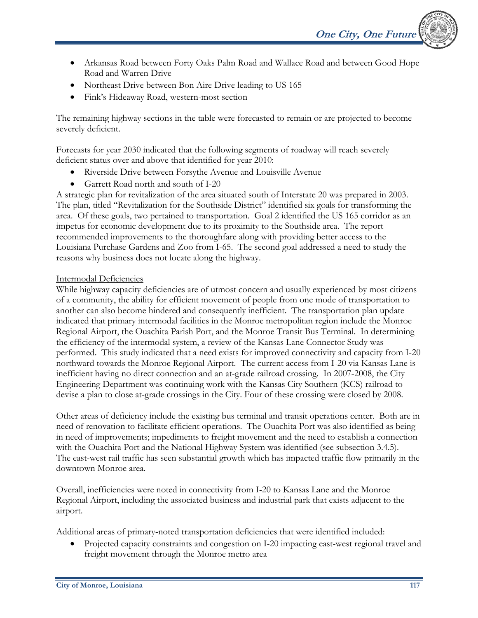- Arkansas Road between Forty Oaks Palm Road and Wallace Road and between Good Hope Road and Warren Drive
- Northeast Drive between Bon Aire Drive leading to US 165
- Fink's Hideaway Road, western-most section

The remaining highway sections in the table were forecasted to remain or are projected to become severely deficient.

Forecasts for year 2030 indicated that the following segments of roadway will reach severely deficient status over and above that identified for year 2010:

- Riverside Drive between Forsythe Avenue and Louisville Avenue
- Garrett Road north and south of I-20

A strategic plan for revitalization of the area situated south of Interstate 20 was prepared in 2003. The plan, titled "Revitalization for the Southside District" identified six goals for transforming the area. Of these goals, two pertained to transportation. Goal 2 identified the US 165 corridor as an impetus for economic development due to its proximity to the Southside area. The report recommended improvements to the thoroughfare along with providing better access to the Louisiana Purchase Gardens and Zoo from I-65. The second goal addressed a need to study the reasons why business does not locate along the highway.

### Intermodal Deficiencies

While highway capacity deficiencies are of utmost concern and usually experienced by most citizens of a community, the ability for efficient movement of people from one mode of transportation to another can also become hindered and consequently inefficient. The transportation plan update indicated that primary intermodal facilities in the Monroe metropolitan region include the Monroe Regional Airport, the Ouachita Parish Port, and the Monroe Transit Bus Terminal. In determining the efficiency of the intermodal system, a review of the Kansas Lane Connector Study was performed. This study indicated that a need exists for improved connectivity and capacity from I-20 northward towards the Monroe Regional Airport. The current access from I-20 via Kansas Lane is inefficient having no direct connection and an at-grade railroad crossing. In 2007-2008, the City Engineering Department was continuing work with the Kansas City Southern (KCS) railroad to devise a plan to close at-grade crossings in the City. Four of these crossing were closed by 2008.

Other areas of deficiency include the existing bus terminal and transit operations center. Both are in need of renovation to facilitate efficient operations. The Ouachita Port was also identified as being in need of improvements; impediments to freight movement and the need to establish a connection with the Ouachita Port and the National Highway System was identified (see subsection 3.4.5). The east-west rail traffic has seen substantial growth which has impacted traffic flow primarily in the downtown Monroe area.

Overall, inefficiencies were noted in connectivity from I-20 to Kansas Lane and the Monroe Regional Airport, including the associated business and industrial park that exists adjacent to the airport.

Additional areas of primary-noted transportation deficiencies that were identified included:

• Projected capacity constraints and congestion on I-20 impacting east-west regional travel and freight movement through the Monroe metro area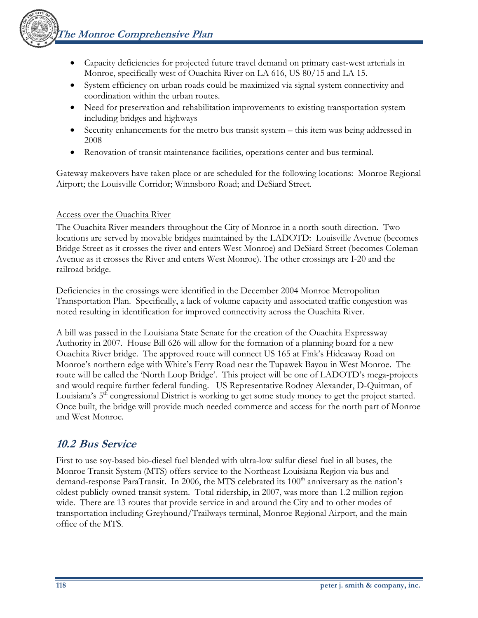

- Capacity deficiencies for projected future travel demand on primary east-west arterials in Monroe, specifically west of Ouachita River on LA 616, US 80/15 and LA 15.
- System efficiency on urban roads could be maximized via signal system connectivity and coordination within the urban routes.
- Need for preservation and rehabilitation improvements to existing transportation system including bridges and highways
- Security enhancements for the metro bus transit system this item was being addressed in 2008
- Renovation of transit maintenance facilities, operations center and bus terminal.

Gateway makeovers have taken place or are scheduled for the following locations: Monroe Regional Airport; the Louisville Corridor; Winnsboro Road; and DeSiard Street.

### Access over the Ouachita River

The Ouachita River meanders throughout the City of Monroe in a north-south direction. Two locations are served by movable bridges maintained by the LADOTD: Louisville Avenue (becomes Bridge Street as it crosses the river and enters West Monroe) and DeSiard Street (becomes Coleman Avenue as it crosses the River and enters West Monroe). The other crossings are I-20 and the railroad bridge.

Deficiencies in the crossings were identified in the December 2004 Monroe Metropolitan Transportation Plan. Specifically, a lack of volume capacity and associated traffic congestion was noted resulting in identification for improved connectivity across the Ouachita River.

A bill was passed in the Louisiana State Senate for the creation of the Ouachita Expressway Authority in 2007. House Bill 626 will allow for the formation of a planning board for a new Ouachita River bridge. The approved route will connect US 165 at Fink's Hideaway Road on Monroe's northern edge with White's Ferry Road near the Tupawek Bayou in West Monroe. The route will be called the 'North Loop Bridge'. This project will be one of LADOTD's mega-projects and would require further federal funding. US Representative Rodney Alexander, D-Quitman, of Louisiana's 5<sup>th</sup> congressional District is working to get some study money to get the project started. Once built, the bridge will provide much needed commerce and access for the north part of Monroe and West Monroe.

### **10.2 Bus Service**

First to use soy-based bio-diesel fuel blended with ultra-low sulfur diesel fuel in all buses, the Monroe Transit System (MTS) offers service to the Northeast Louisiana Region via bus and demand-response ParaTransit. In 2006, the MTS celebrated its 100<sup>th</sup> anniversary as the nation's oldest publicly-owned transit system. Total ridership, in 2007, was more than 1.2 million regionwide. There are 13 routes that provide service in and around the City and to other modes of transportation including Greyhound/Trailways terminal, Monroe Regional Airport, and the main office of the MTS.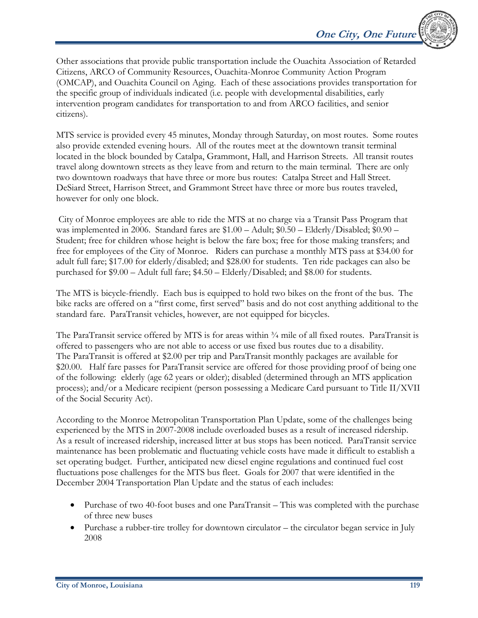Other associations that provide public transportation include the Ouachita Association of Retarded Citizens, ARCO of Community Resources, Ouachita-Monroe Community Action Program (OMCAP), and Ouachita Council on Aging. Each of these associations provides transportation for the specific group of individuals indicated (i.e. people with developmental disabilities, early intervention program candidates for transportation to and from ARCO facilities, and senior citizens).

MTS service is provided every 45 minutes, Monday through Saturday, on most routes. Some routes also provide extended evening hours. All of the routes meet at the downtown transit terminal located in the block bounded by Catalpa, Grammont, Hall, and Harrison Streets. All transit routes travel along downtown streets as they leave from and return to the main terminal. There are only two downtown roadways that have three or more bus routes: Catalpa Street and Hall Street. DeSiard Street, Harrison Street, and Grammont Street have three or more bus routes traveled, however for only one block.

 City of Monroe employees are able to ride the MTS at no charge via a Transit Pass Program that was implemented in 2006. Standard fares are \$1.00 – Adult; \$0.50 – Elderly/Disabled; \$0.90 – Student; free for children whose height is below the fare box; free for those making transfers; and free for employees of the City of Monroe. Riders can purchase a monthly MTS pass at \$34.00 for adult full fare; \$17.00 for elderly/disabled; and \$28.00 for students. Ten ride packages can also be purchased for \$9.00 – Adult full fare; \$4.50 – Elderly/Disabled; and \$8.00 for students.

The MTS is bicycle-friendly. Each bus is equipped to hold two bikes on the front of the bus. The bike racks are offered on a "first come, first served" basis and do not cost anything additional to the standard fare. ParaTransit vehicles, however, are not equipped for bicycles.

The ParaTransit service offered by MTS is for areas within  $\frac{3}{4}$  mile of all fixed routes. ParaTransit is offered to passengers who are not able to access or use fixed bus routes due to a disability. The ParaTransit is offered at \$2.00 per trip and ParaTransit monthly packages are available for \$20.00. Half fare passes for ParaTransit service are offered for those providing proof of being one of the following: elderly (age 62 years or older); disabled (determined through an MTS application process); and/or a Medicare recipient (person possessing a Medicare Card pursuant to Title II/XVII of the Social Security Act).

According to the Monroe Metropolitan Transportation Plan Update, some of the challenges being experienced by the MTS in 2007-2008 include overloaded buses as a result of increased ridership. As a result of increased ridership, increased litter at bus stops has been noticed. ParaTransit service maintenance has been problematic and fluctuating vehicle costs have made it difficult to establish a set operating budget. Further, anticipated new diesel engine regulations and continued fuel cost fluctuations pose challenges for the MTS bus fleet. Goals for 2007 that were identified in the December 2004 Transportation Plan Update and the status of each includes:

- Purchase of two 40-foot buses and one ParaTransit This was completed with the purchase of three new buses
- Purchase a rubber-tire trolley for downtown circulator the circulator began service in July 2008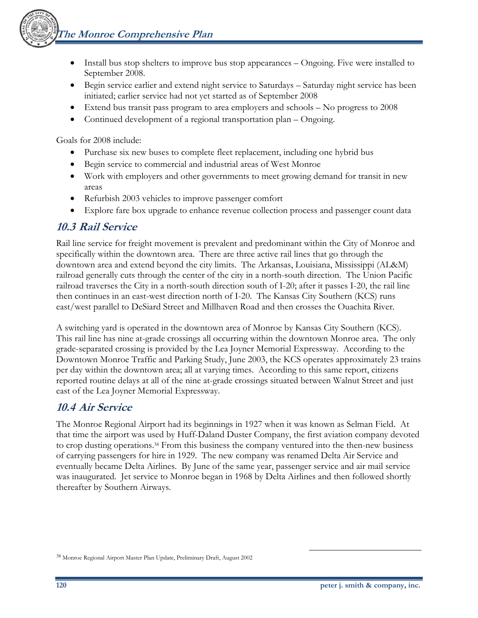

- Install bus stop shelters to improve bus stop appearances Ongoing. Five were installed to September 2008.
- Begin service earlier and extend night service to Saturdays Saturday night service has been initiated; earlier service had not yet started as of September 2008
- Extend bus transit pass program to area employers and schools No progress to 2008
- Continued development of a regional transportation plan Ongoing.

Goals for 2008 include:

- Purchase six new buses to complete fleet replacement, including one hybrid bus
- Begin service to commercial and industrial areas of West Monroe
- Work with employers and other governments to meet growing demand for transit in new areas
- Refurbish 2003 vehicles to improve passenger comfort
- Explore fare box upgrade to enhance revenue collection process and passenger count data

# **10.3 Rail Service**

Rail line service for freight movement is prevalent and predominant within the City of Monroe and specifically within the downtown area. There are three active rail lines that go through the downtown area and extend beyond the city limits. The Arkansas, Louisiana, Mississippi (AL&M) railroad generally cuts through the center of the city in a north-south direction. The Union Pacific railroad traverses the City in a north-south direction south of I-20; after it passes I-20, the rail line then continues in an east-west direction north of I-20. The Kansas City Southern (KCS) runs east/west parallel to DeSiard Street and Millhaven Road and then crosses the Ouachita River.

A switching yard is operated in the downtown area of Monroe by Kansas City Southern (KCS). This rail line has nine at-grade crossings all occurring within the downtown Monroe area. The only grade-separated crossing is provided by the Lea Joyner Memorial Expressway. According to the Downtown Monroe Traffic and Parking Study, June 2003, the KCS operates approximately 23 trains per day within the downtown area; all at varying times. According to this same report, citizens reported routine delays at all of the nine at-grade crossings situated between Walnut Street and just east of the Lea Joyner Memorial Expressway.

# **10.4 Air Service**

The Monroe Regional Airport had its beginnings in 1927 when it was known as Selman Field. At that time the airport was used by Huff-Daland Duster Company, the first aviation company devoted to crop dusting operations.38 From this business the company ventured into the then-new business of carrying passengers for hire in 1929. The new company was renamed Delta Air Service and eventually became Delta Airlines. By June of the same year, passenger service and air mail service was inaugurated. Jet service to Monroe began in 1968 by Delta Airlines and then followed shortly thereafter by Southern Airways.

<sup>38</sup> Monroe Regional Airport Master Plan Update, Preliminary Draft, August 2002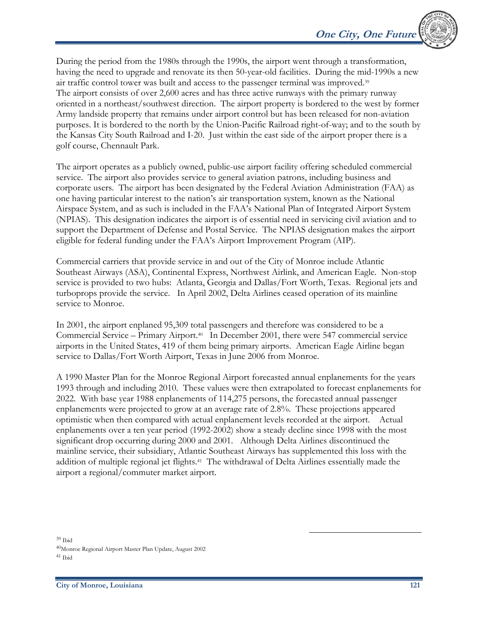During the period from the 1980s through the 1990s, the airport went through a transformation, having the need to upgrade and renovate its then 50-year-old facilities. During the mid-1990s a new air traffic control tower was built and access to the passenger terminal was improved.39 The airport consists of over 2,600 acres and has three active runways with the primary runway oriented in a northeast/southwest direction. The airport property is bordered to the west by former Army landside property that remains under airport control but has been released for non-aviation purposes. It is bordered to the north by the Union-Pacific Railroad right-of-way; and to the south by the Kansas City South Railroad and I-20. Just within the east side of the airport proper there is a golf course, Chennault Park.

The airport operates as a publicly owned, public-use airport facility offering scheduled commercial service. The airport also provides service to general aviation patrons, including business and corporate users. The airport has been designated by the Federal Aviation Administration (FAA) as one having particular interest to the nation's air transportation system, known as the National Airspace System, and as such is included in the FAA's National Plan of Integrated Airport System (NPIAS). This designation indicates the airport is of essential need in servicing civil aviation and to support the Department of Defense and Postal Service. The NPIAS designation makes the airport eligible for federal funding under the FAA's Airport Improvement Program (AIP).

Commercial carriers that provide service in and out of the City of Monroe include Atlantic Southeast Airways (ASA), Continental Express, Northwest Airlink, and American Eagle. Non-stop service is provided to two hubs: Atlanta, Georgia and Dallas/Fort Worth, Texas. Regional jets and turboprops provide the service. In April 2002, Delta Airlines ceased operation of its mainline service to Monroe.

In 2001, the airport enplaned 95,309 total passengers and therefore was considered to be a Commercial Service – Primary Airport.40 In December 2001, there were 547 commercial service airports in the United States, 419 of them being primary airports. American Eagle Airline began service to Dallas/Fort Worth Airport, Texas in June 2006 from Monroe.

A 1990 Master Plan for the Monroe Regional Airport forecasted annual enplanements for the years 1993 through and including 2010. These values were then extrapolated to forecast enplanements for 2022. With base year 1988 enplanements of 114,275 persons, the forecasted annual passenger enplanements were projected to grow at an average rate of 2.8%. These projections appeared optimistic when then compared with actual enplanement levels recorded at the airport. Actual enplanements over a ten year period (1992-2002) show a steady decline since 1998 with the most significant drop occurring during 2000 and 2001. Although Delta Airlines discontinued the mainline service, their subsidiary, Atlantic Southeast Airways has supplemented this loss with the addition of multiple regional jet flights.41 The withdrawal of Delta Airlines essentially made the airport a regional/commuter market airport.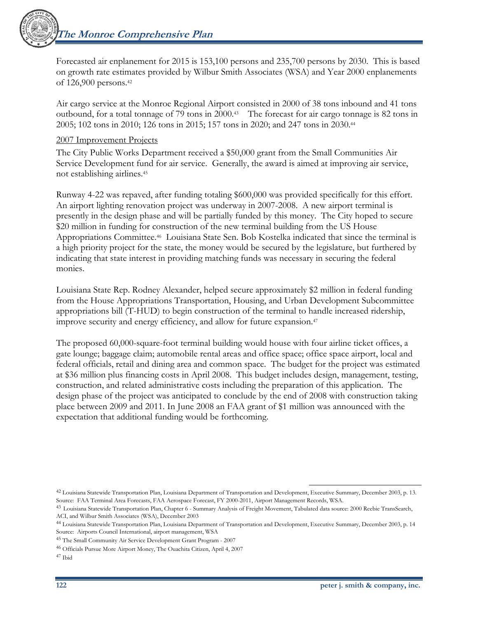

Forecasted air enplanement for 2015 is 153,100 persons and 235,700 persons by 2030. This is based on growth rate estimates provided by Wilbur Smith Associates (WSA) and Year 2000 enplanements of 126,900 persons.42

Air cargo service at the Monroe Regional Airport consisted in 2000 of 38 tons inbound and 41 tons outbound, for a total tonnage of 79 tons in 2000.43 The forecast for air cargo tonnage is 82 tons in 2005; 102 tons in 2010; 126 tons in 2015; 157 tons in 2020; and 247 tons in 2030.44

#### 2007 Improvement Projects

The City Public Works Department received a \$50,000 grant from the Small Communities Air Service Development fund for air service. Generally, the award is aimed at improving air service, not establishing airlines.45

Runway 4-22 was repaved, after funding totaling \$600,000 was provided specifically for this effort. An airport lighting renovation project was underway in 2007-2008. A new airport terminal is presently in the design phase and will be partially funded by this money. The City hoped to secure \$20 million in funding for construction of the new terminal building from the US House Appropriations Committee.46 Louisiana State Sen. Bob Kostelka indicated that since the terminal is a high priority project for the state, the money would be secured by the legislature, but furthered by indicating that state interest in providing matching funds was necessary in securing the federal monies.

Louisiana State Rep. Rodney Alexander, helped secure approximately \$2 million in federal funding from the House Appropriations Transportation, Housing, and Urban Development Subcommittee appropriations bill (T-HUD) to begin construction of the terminal to handle increased ridership, improve security and energy efficiency, and allow for future expansion.47

The proposed 60,000-square-foot terminal building would house with four airline ticket offices, a gate lounge; baggage claim; automobile rental areas and office space; office space airport, local and federal officials, retail and dining area and common space. The budget for the project was estimated at \$36 million plus financing costs in April 2008. This budget includes design, management, testing, construction, and related administrative costs including the preparation of this application. The design phase of the project was anticipated to conclude by the end of 2008 with construction taking place between 2009 and 2011. In June 2008 an FAA grant of \$1 million was announced with the expectation that additional funding would be forthcoming.

 $\overline{a}$ 42 Louisiana Statewide Transportation Plan, Louisiana Department of Transportation and Development, Executive Summary, December 2003, p. 13. Source: FAA Terminal Area Forecasts, FAA Aerospace Forecast, FY 2000-2011, Airport Management Records, WSA.

<sup>43</sup> Louisiana Statewide Transportation Plan, Chapter 6 - Summary Analysis of Freight Movement, Tabulated data source: 2000 Reebie TransSearch, ACI, and Wilbur Smith Associates (WSA), December 2003

<sup>44</sup> Louisiana Statewide Transportation Plan, Louisiana Department of Transportation and Development, Executive Summary, December 2003, p. 14 Source: Airports Council International, airport management, WSA

<sup>45</sup> The Small Community Air Service Development Grant Program - 2007

<sup>46</sup> Officials Pursue More Airport Money, The Ouachita Citizen, April 4, 2007

<sup>47</sup> Ibid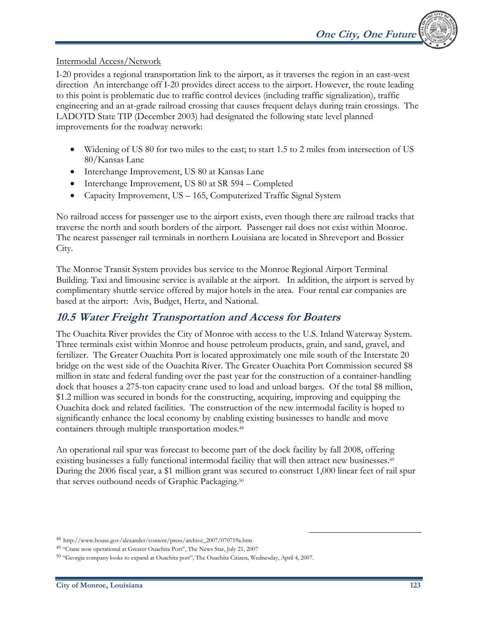#### Intermodal Access/Network

I-20 provides a regional transportation link to the airport, as it traverses the region in an east-west direction An interchange off I-20 provides direct access to the airport. However, the route leading to this point is problematic due to traffic control devices (including traffic signalization), traffic engineering and an at-grade railroad crossing that causes frequent delays during train crossings. The LADOTD State TIP (December 2003) had designated the following state level planned improvements for the roadway network:

- Widening of US 80 for two miles to the east; to start 1.5 to 2 miles from intersection of US 80/Kansas Lane
- Interchange Improvement, US 80 at Kansas Lane
- Interchange Improvement, US 80 at SR 594 Completed
- Capacity Improvement, US 165, Computerized Traffic Signal System

No railroad access for passenger use to the airport exists, even though there are railroad tracks that traverse the north and south borders of the airport. Passenger rail does not exist within Monroe. The nearest passenger rail terminals in northern Louisiana are located in Shreveport and Bossier City.

The Monroe Transit System provides bus service to the Monroe Regional Airport Terminal Building. Taxi and limousine service is available at the airport. In addition, the airport is served by complimentary shuttle service offered by major hotels in the area. Four rental car companies are based at the airport: Avis, Budget, Hertz, and National.

### **10.5 Water Freight Transportation and Access for Boaters**

The Ouachita River provides the City of Monroe with access to the U.S. Inland Waterway System. Three terminals exist within Monroe and house petroleum products, grain, and sand, gravel, and fertilizer. The Greater Ouachita Port is located approximately one mile south of the Interstate 20 bridge on the west side of the Ouachita River. The Greater Ouachita Port Commission secured \$8 million in state and federal funding over the past year for the construction of a container-handling dock that houses a 275-ton capacity crane used to load and unload barges. Of the total \$8 million, \$1.2 million was secured in bonds for the constructing, acquiring, improving and equipping the Ouachita dock and related facilities. The construction of the new intermodal facility is hoped to significantly enhance the local economy by enabling existing businesses to handle and move containers through multiple transportation modes.48

An operational rail spur was forecast to become part of the dock facility by fall 2008, offering existing businesses a fully functional intermodal facility that will then attract new businesses.<sup>49</sup> During the 2006 fiscal year, a \$1 million grant was secured to construct 1,000 linear feet of rail spur that serves outbound needs of Graphic Packaging.50

<sup>48</sup> http://www.house.gov/alexander/content/press/archive\_2007/070719a.htm

<sup>49 &</sup>quot;Crane now operational at Greater Ouachita Port", The News Star, July 21, 2007

<sup>50 &</sup>quot;Georgia company looks to expand at Ouachita port", The Ouachita Citizen, Wednesday, April 4, 2007.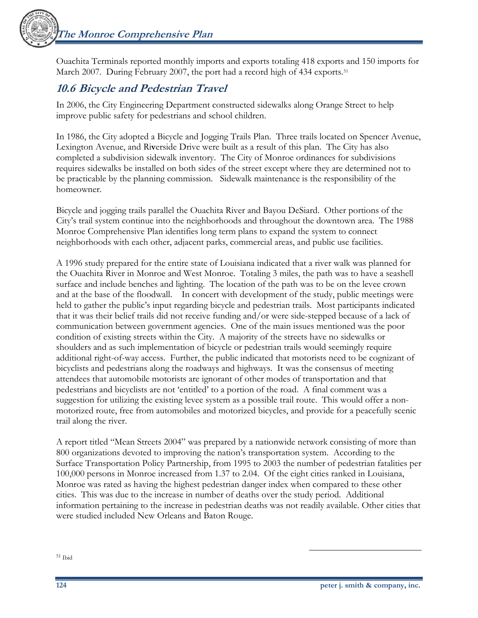

Ouachita Terminals reported monthly imports and exports totaling 418 exports and 150 imports for March 2007. During February 2007, the port had a record high of 434 exports.<sup>51</sup>

# **10.6 Bicycle and Pedestrian Travel**

In 2006, the City Engineering Department constructed sidewalks along Orange Street to help improve public safety for pedestrians and school children.

In 1986, the City adopted a Bicycle and Jogging Trails Plan. Three trails located on Spencer Avenue, Lexington Avenue, and Ri**v**erside Drive were built as a result of this plan. The City has also completed a subdivision sidewalk inventory.The City of Monroe ordinances for subdivisions requires sidewalks be installed on both sides of the street except where they are determined not to be practicable by the planning commission. Sidewalk maintenance is the responsibility of the homeowner.

Bicycle and jogging trails parallel the Ouachita River and Bayou DeSiard. Other portions of the City's trail system continue into the neighborhoods and throughout the downtown area. The 1988 Monroe Comprehensive Plan identifies long term plans to expand the system to connect neighborhoods with each other, adjacent parks, commercial areas, and public use facilities.

A 1996 study prepared for the entire state of Louisiana indicated that a river walk was planned for the Ouachita River in Monroe and West Monroe. Totaling 3 miles, the path was to have a seashell surface and include benches and lighting. The location of the path was to be on the levee crown and at the base of the floodwall. In concert with development of the study, public meetings were held to gather the public's input regarding bicycle and pedestrian trails. Most participants indicated that it was their belief trails did not receive funding and/or were side-stepped because of a lack of communication between government agencies. One of the main issues mentioned was the poor condition of existing streets within the City. A majority of the streets have no sidewalks or shoulders and as such implementation of bicycle or pedestrian trails would seemingly require additional right-of-way access. Further, the public indicated that motorists need to be cognizant of bicyclists and pedestrians along the roadways and highways. It was the consensus of meeting attendees that automobile motorists are ignorant of other modes of transportation and that pedestrians and bicyclists are not 'entitled' to a portion of the road. A final comment was a suggestion for utilizing the existing levee system as a possible trail route. This would offer a nonmotorized route, free from automobiles and motorized bicycles, and provide for a peacefully scenic trail along the river.

A report titled "Mean Streets 2004" was prepared by a nationwide network consisting of more than 800 organizations devoted to improving the nation's transportation system. According to the Surface Transportation Policy Partnership, from 1995 to 2003 the number of pedestrian fatalities per 100,000 persons in Monroe increased from 1.37 to 2.04. Of the eight cities ranked in Louisiana, Monroe was rated as having the highest pedestrian danger index when compared to these other cities. This was due to the increase in number of deaths over the study period. Additional information pertaining to the increase in pedestrian deaths was not readily available. Other cities that were studied included New Orleans and Baton Rouge.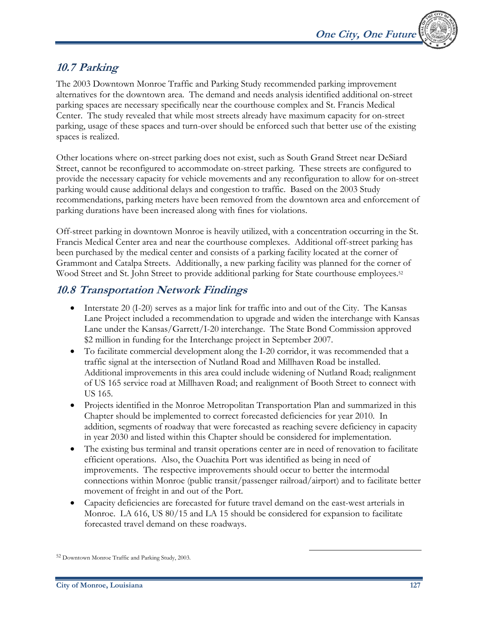

# **10.7 Parking**

The 2003 Downtown Monroe Traffic and Parking Study recommended parking improvement alternatives for the downtown area. The demand and needs analysis identified additional on-street parking spaces are necessary specifically near the courthouse complex and St. Francis Medical Center. The study revealed that while most streets already have maximum capacity for on-street parking, usage of these spaces and turn-over should be enforced such that better use of the existing spaces is realized.

Other locations where on-street parking does not exist, such as South Grand Street near DeSiard Street, cannot be reconfigured to accommodate on-street parking. These streets are configured to provide the necessary capacity for vehicle movements and any reconfiguration to allow for on-street parking would cause additional delays and congestion to traffic. Based on the 2003 Study recommendations, parking meters have been removed from the downtown area and enforcement of parking durations have been increased along with fines for violations.

Off-street parking in downtown Monroe is heavily utilized, with a concentration occurring in the St. Francis Medical Center area and near the courthouse complexes. Additional off-street parking has been purchased by the medical center and consists of a parking facility located at the corner of Grammont and Catalpa Streets. Additionally, a new parking facility was planned for the corner of Wood Street and St. John Street to provide additional parking for State courthouse employees.<sup>52</sup>

### **10.8 Transportation Network Findings**

- Interstate 20 (I-20) serves as a major link for traffic into and out of the City. The Kansas Lane Project included a recommendation to upgrade and widen the interchange with Kansas Lane under the Kansas/Garrett/I-20 interchange. The State Bond Commission approved \$2 million in funding for the Interchange project in September 2007.
- To facilitate commercial development along the I-20 corridor, it was recommended that a traffic signal at the intersection of Nutland Road and Millhaven Road be installed. Additional improvements in this area could include widening of Nutland Road; realignment of US 165 service road at Millhaven Road; and realignment of Booth Street to connect with US 165.
- Projects identified in the Monroe Metropolitan Transportation Plan and summarized in this Chapter should be implemented to correct forecasted deficiencies for year 2010. In addition, segments of roadway that were forecasted as reaching severe deficiency in capacity in year 2030 and listed within this Chapter should be considered for implementation.
- The existing bus terminal and transit operations center are in need of renovation to facilitate efficient operations. Also, the Ouachita Port was identified as being in need of improvements. The respective improvements should occur to better the intermodal connections within Monroe (public transit/passenger railroad/airport) and to facilitate better movement of freight in and out of the Port.
- Capacity deficiencies are forecasted for future travel demand on the east-west arterials in Monroe. LA 616, US 80/15 and LA 15 should be considered for expansion to facilitate forecasted travel demand on these roadways.

<sup>52</sup> Downtown Monroe Traffic and Parking Study, 2003.